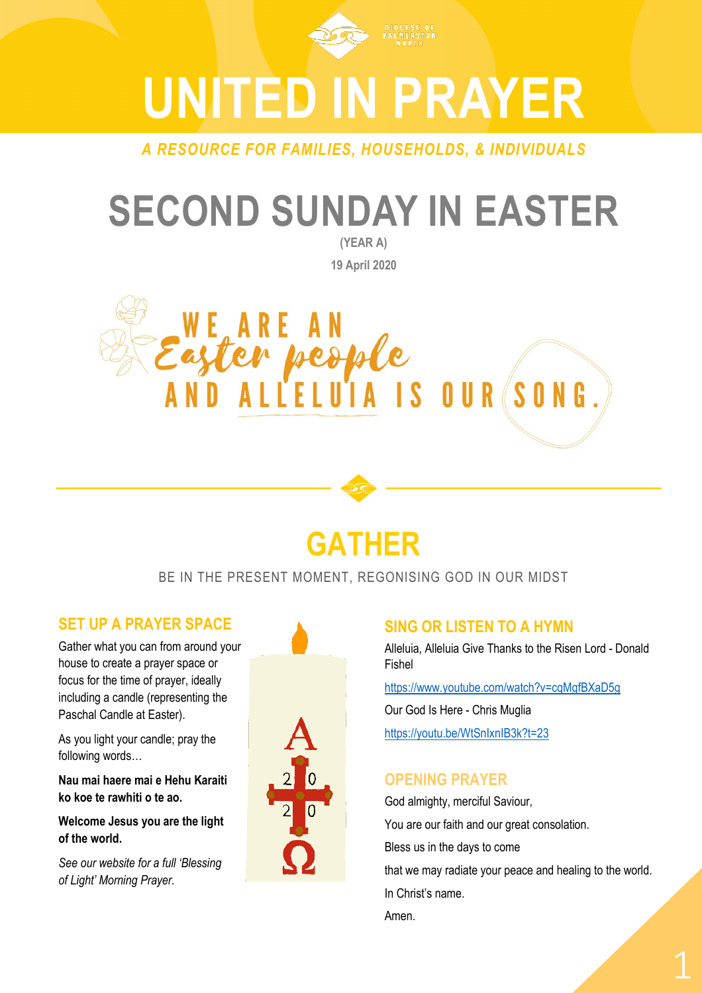

# **UNITED IN PRAYER**

*A RESOURCE FOR FAMILIES, HOUSEHOLDS, & INDIVIDUALS*

## **SECOND SUNDAY IN EASTER**

**(YEAR A) 19 April 2020**





#### BE IN THE PRESENT MOMENT, REGONISING GOD IN OUR MIDST

#### **SET UP A PRAYER SPACE**

Gather what you can from around your house to create a prayer space or focus for the time of prayer, ideally including a candle (representing the Paschal Candle at Easter).

As you light your candle; pray the following words…

**Nau mai haere mai e Hehu Karaiti ko koe te rawhiti o te ao.** 

**Welcome Jesus you are the light of the world.**

*See our website for a full 'Blessing of Light' Morning Prayer.*



#### **SING OR LISTEN TO A HYMN**

Alleluia, Alleluia Give Thanks to the Risen Lord - Donald Fishel

<https://www.youtube.com/watch?v=cqMgfBXaD5g>

Our God Is Here - Chris Muglia <https://youtu.be/WtSnIxnIB3k?t=23>

#### **OPENING PRAYER**

God almighty, merciful Saviour, You are our faith and our great consolation. Bless us in the days to come that we may radiate your peace and healing to the world. In Christ's name. Amen.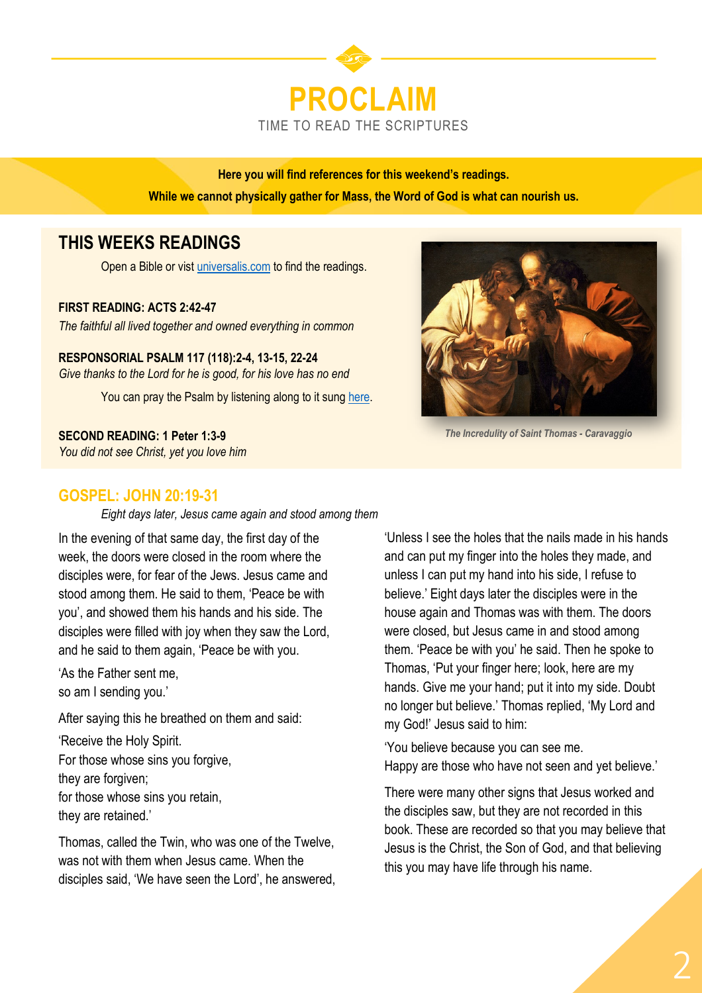

**Here you will find references for this weekend's readings. While we cannot physically gather for Mass, the Word of God is what can nourish us.** 

### **THIS WEEKS READINGS**

Open a Bible or vist [universalis.com](https://universalis.com/mass.htm) to find the readings.

#### **FIRST READING: ACTS 2:42-47**

*The faithful all lived together and owned everything in common*

**RESPONSORIAL PSALM 117 (118):2-4, 13-15, 22-24** *Give thanks to the Lord for he is good, for his love has no end*

You can pray the Psalm by listening along to it sung [here.](https://www.youtube.com/watch?v=wEDk6V-ZPd8)

**SECOND READING: 1 Peter 1:3-9**

*You did not see Christ, yet you love him*



*The Incredulity of Saint Thomas - Caravaggio*

#### **GOSPEL: JOHN 20:19-31**

*Eight days later, Jesus came again and stood among them*

In the evening of that same day, the first day of the week, the doors were closed in the room where the disciples were, for fear of the Jews. Jesus came and stood among them. He said to them, 'Peace be with you', and showed them his hands and his side. The disciples were filled with joy when they saw the Lord, and he said to them again, 'Peace be with you.

'As the Father sent me, so am I sending you.'

After saying this he breathed on them and said:

'Receive the Holy Spirit. For those whose sins you forgive, they are forgiven; for those whose sins you retain, they are retained.'

Thomas, called the Twin, who was one of the Twelve, was not with them when Jesus came. When the disciples said, 'We have seen the Lord', he answered,

'Unless I see the holes that the nails made in his hands and can put my finger into the holes they made, and unless I can put my hand into his side, I refuse to believe.' Eight days later the disciples were in the house again and Thomas was with them. The doors were closed, but Jesus came in and stood among them. 'Peace be with you' he said. Then he spoke to Thomas, 'Put your finger here; look, here are my hands. Give me your hand; put it into my side. Doubt no longer but believe.' Thomas replied, 'My Lord and my God!' Jesus said to him:

'You believe because you can see me. Happy are those who have not seen and yet believe.'

There were many other signs that Jesus worked and the disciples saw, but they are not recorded in this book. These are recorded so that you may believe that Jesus is the Christ, the Son of God, and that believing this you may have life through his name.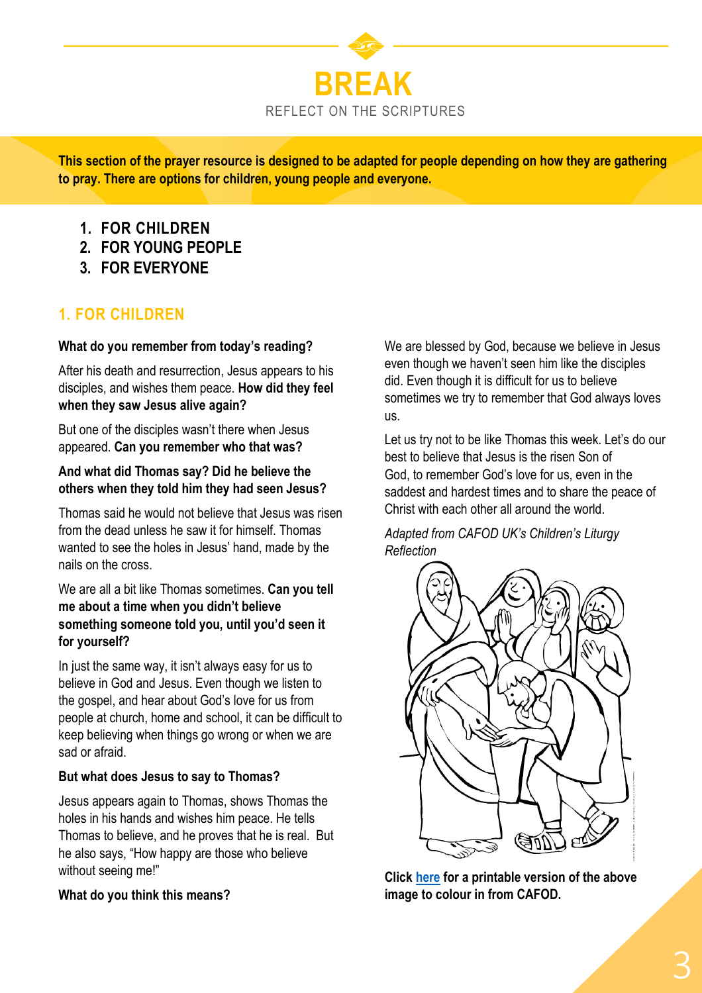

**This section of the prayer resource is designed to be adapted for people depending on how they are gathering to pray. There are options for children, young people and everyone.**

- **1. FOR CHILDREN**
- **2. FOR YOUNG PEOPLE**
- **3. FOR EVERYONE**

#### **1. FOR CHILDREN**

#### **What do you remember from today's reading?**

After his death and resurrection, Jesus appears to his disciples, and wishes them peace. **How did they feel when they saw Jesus alive again?**

But one of the disciples wasn't there when Jesus appeared. **Can you remember who that was?**

#### **And what did Thomas say? Did he believe the others when they told him they had seen Jesus?**

Thomas said he would not believe that Jesus was risen from the dead unless he saw it for himself. Thomas wanted to see the holes in Jesus' hand, made by the nails on the cross.

#### We are all a bit like Thomas sometimes. **Can you tell me about a time when you didn't believe something someone told you, until you'd seen it for yourself?**

In just the same way, it isn't always easy for us to believe in God and Jesus. Even though we listen to the gospel, and hear about God's love for us from people at church, home and school, it can be difficult to keep believing when things go wrong or when we are sad or afraid.

#### **But what does Jesus to say to Thomas?**

Jesus appears again to Thomas, shows Thomas the holes in his hands and wishes him peace. He tells Thomas to believe, and he proves that he is real. But he also says, "How happy are those who believe without seeing me!"

#### **What do you think this means?**

We are blessed by God, because we believe in Jesus even though we haven't seen him like the disciples did. Even though it is difficult for us to believe sometimes we try to remember that God always loves us.

Let us try not to be like Thomas this week. Let's do our best to believe that Jesus is the risen Son of God, to remember God's love for us, even in the saddest and hardest times and to share the peace of Christ with each other all around the world.

#### *Adapted from CAFOD UK's Children's Liturgy Reflection*



**Click [here](https://cafod.org.uk/content/download/14177/113303/version/5/Prayer_childrens-liturgy_2nd-Sunday-Easter-A-pic.pdf) for a printable version of the above image to colour in from CAFOD.**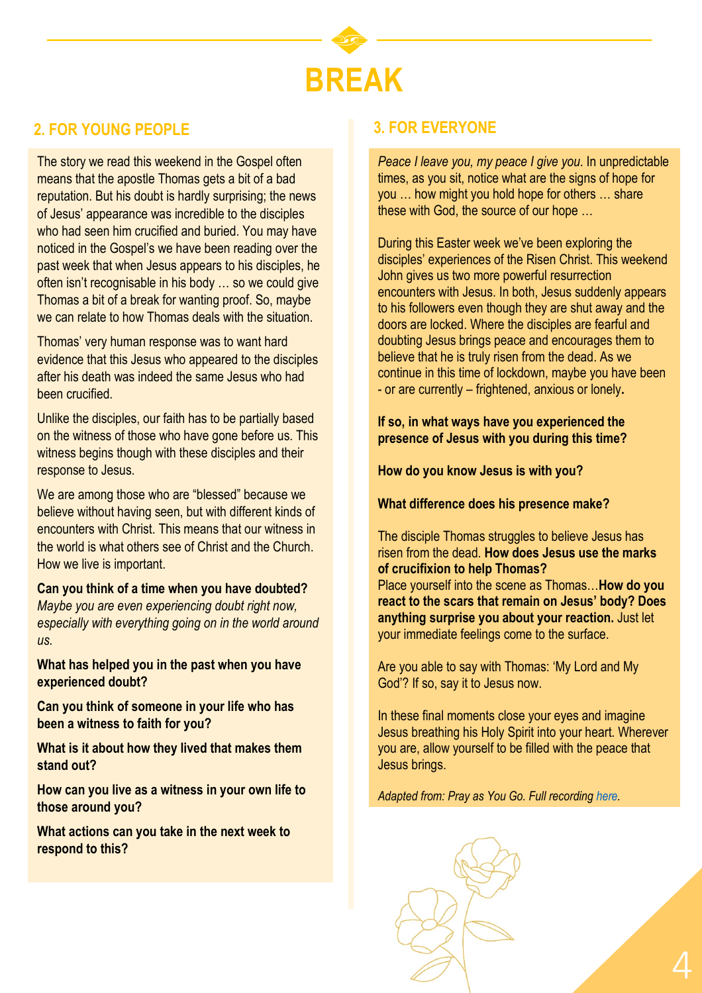

#### **2. FOR YOUNG PEOPLE 3. FOR EVERYONE**

The story we read this weekend in the Gospel often means that the apostle Thomas gets a bit of a bad reputation. But his doubt is hardly surprising; the news of Jesus' appearance was incredible to the disciples who had seen him crucified and buried. You may have noticed in the Gospel's we have been reading over the past week that when Jesus appears to his disciples, he often isn't recognisable in his body … so we could give Thomas a bit of a break for wanting proof. So, maybe we can relate to how Thomas deals with the situation.

Thomas' very human response was to want hard evidence that this Jesus who appeared to the disciples after his death was indeed the same Jesus who had been crucified.

Unlike the disciples, our faith has to be partially based on the witness of those who have gone before us. This witness begins though with these disciples and their response to Jesus.

We are among those who are "blessed" because we believe without having seen, but with different kinds of encounters with Christ. This means that our witness in the world is what others see of Christ and the Church. How we live is important.

#### **Can you think of a time when you have doubted?**

*Maybe you are even experiencing doubt right now, especially with everything going on in the world around us.*

**What has helped you in the past when you have experienced doubt?**

**Can you think of someone in your life who has been a witness to faith for you?** 

**What is it about how they lived that makes them stand out?** 

**How can you live as a witness in your own life to those around you?**

**What actions can you take in the next week to respond to this?** 

*Peace I leave you, my peace I give you*. In unpredictable times, as you sit, notice what are the signs of hope for you … how might you hold hope for others … share these with God, the source of our hope …

During this Easter week we've been exploring the disciples' experiences of the Risen Christ. This weekend John gives us two more powerful resurrection encounters with Jesus. In both, Jesus suddenly appears to his followers even though they are shut away and the doors are locked. Where the disciples are fearful and doubting Jesus brings peace and encourages them to believe that he is truly risen from the dead. As we continue in this time of lockdown, maybe you have been - or are currently – frightened, anxious or lonely**.** 

**If so, in what ways have you experienced the presence of Jesus with you during this time?**

**How do you know Jesus is with you?**

**What difference does his presence make?**

The disciple Thomas struggles to believe Jesus has risen from the dead. **How does Jesus use the marks of crucifixion to help Thomas?** Place yourself into the scene as Thomas…**How do you react to the scars that remain on Jesus' body? Does anything surprise you about your reaction.** Just let your immediate feelings come to the surface.

Are you able to say with Thomas: 'My Lord and My God'? If so, say it to Jesus now.

In these final moments close your eyes and imagine Jesus breathing his Holy Spirit into your heart. Wherever you are, allow yourself to be filled with the peace that Jesus brings.

*Adapted from: Pray as You Go. Full recording [here.](https://pray-as-you-go.org/player/prayer/2020-04-19)*